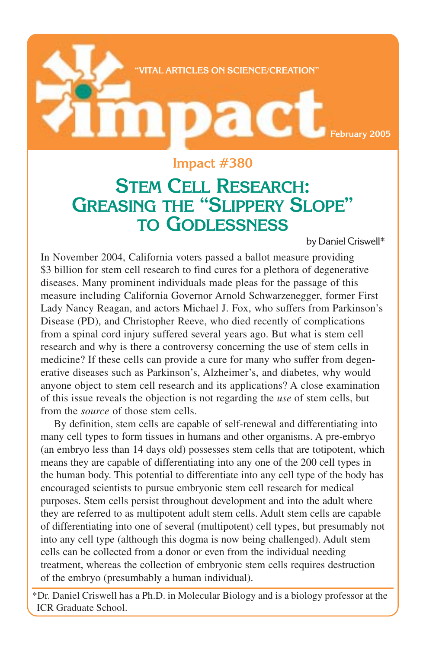

## **Impact #380**

## **STEM CELL RESEARCH: GREASING THE "SLIPPERY SLOPE" TO GODLESSNESS**

by Daniel Criswell\*

In November 2004, California voters passed a ballot measure providing \$3 billion for stem cell research to find cures for a plethora of degenerative diseases. Many prominent individuals made pleas for the passage of this measure including California Governor Arnold Schwarzenegger, former First Lady Nancy Reagan, and actors Michael J. Fox, who suffers from Parkinson's Disease (PD), and Christopher Reeve, who died recently of complications from a spinal cord injury suffered several years ago. But what is stem cell research and why is there a controversy concerning the use of stem cells in medicine? If these cells can provide a cure for many who suffer from degenerative diseases such as Parkinson's, Alzheimer's, and diabetes, why would anyone object to stem cell research and its applications? A close examination of this issue reveals the objection is not regarding the *use* of stem cells, but from the *source* of those stem cells.

By definition, stem cells are capable of self-renewal and differentiating into many cell types to form tissues in humans and other organisms. A pre-embryo (an embryo less than 14 days old) possesses stem cells that are totipotent, which means they are capable of differentiating into any one of the 200 cell types in the human body. This potential to differentiate into any cell type of the body has encouraged scientists to pursue embryonic stem cell research for medical purposes. Stem cells persist throughout development and into the adult where they are referred to as multipotent adult stem cells. Adult stem cells are capable of differentiating into one of several (multipotent) cell types, but presumably not into any cell type (although this dogma is now being challenged). Adult stem cells can be collected from a donor or even from the individual needing treatment, whereas the collection of embryonic stem cells requires destruction of the embryo (presumbably a human individual).

\*Dr. Daniel Criswell has a Ph.D. in Molecular Biology and is a biology professor at the ICR Graduate School.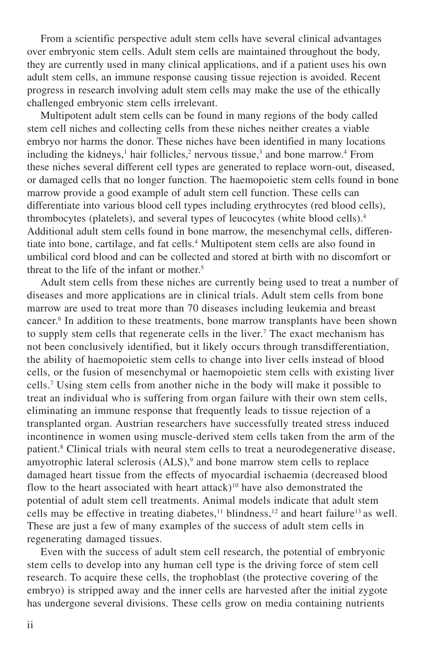From a scientific perspective adult stem cells have several clinical advantages over embryonic stem cells. Adult stem cells are maintained throughout the body, they are currently used in many clinical applications, and if a patient uses his own adult stem cells, an immune response causing tissue rejection is avoided. Recent progress in research involving adult stem cells may make the use of the ethically challenged embryonic stem cells irrelevant.

Multipotent adult stem cells can be found in many regions of the body called stem cell niches and collecting cells from these niches neither creates a viable embryo nor harms the donor. These niches have been identified in many locations including the kidneys,<sup>1</sup> hair follicles,<sup>2</sup> nervous tissue,<sup>3</sup> and bone marrow.<sup>4</sup> From these niches several different cell types are generated to replace worn-out, diseased, or damaged cells that no longer function. The haemopoietic stem cells found in bone marrow provide a good example of adult stem cell function. These cells can differentiate into various blood cell types including erythrocytes (red blood cells), thrombocytes (platelets), and several types of leucocytes (white blood cells).4 Additional adult stem cells found in bone marrow, the mesenchymal cells, differentiate into bone, cartilage, and fat cells.<sup>4</sup> Multipotent stem cells are also found in umbilical cord blood and can be collected and stored at birth with no discomfort or threat to the life of the infant or mother.<sup>5</sup>

Adult stem cells from these niches are currently being used to treat a number of diseases and more applications are in clinical trials. Adult stem cells from bone marrow are used to treat more than 70 diseases including leukemia and breast cancer.6 In addition to these treatments, bone marrow transplants have been shown to supply stem cells that regenerate cells in the liver.<sup>7</sup> The exact mechanism has not been conclusively identified, but it likely occurs through transdifferentiation, the ability of haemopoietic stem cells to change into liver cells instead of blood cells, or the fusion of mesenchymal or haemopoietic stem cells with existing liver cells.7 Using stem cells from another niche in the body will make it possible to treat an individual who is suffering from organ failure with their own stem cells, eliminating an immune response that frequently leads to tissue rejection of a transplanted organ. Austrian researchers have successfully treated stress induced incontinence in women using muscle-derived stem cells taken from the arm of the patient.<sup>8</sup> Clinical trials with neural stem cells to treat a neurodegenerative disease, amyotrophic lateral sclerosis (ALS),<sup>9</sup> and bone marrow stem cells to replace damaged heart tissue from the effects of myocardial ischaemia (decreased blood flow to the heart associated with heart attack)<sup>10</sup> have also demonstrated the potential of adult stem cell treatments. Animal models indicate that adult stem cells may be effective in treating diabetes,<sup>11</sup> blindness,<sup>12</sup> and heart failure<sup>13</sup> as well. These are just a few of many examples of the success of adult stem cells in regenerating damaged tissues.

Even with the success of adult stem cell research, the potential of embryonic stem cells to develop into any human cell type is the driving force of stem cell research. To acquire these cells, the trophoblast (the protective covering of the embryo) is stripped away and the inner cells are harvested after the initial zygote has undergone several divisions. These cells grow on media containing nutrients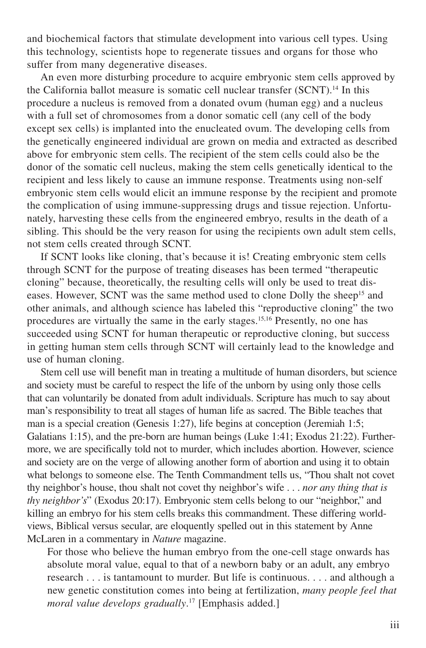and biochemical factors that stimulate development into various cell types. Using this technology, scientists hope to regenerate tissues and organs for those who suffer from many degenerative diseases.

An even more disturbing procedure to acquire embryonic stem cells approved by the California ballot measure is somatic cell nuclear transfer (SCNT).<sup>14</sup> In this procedure a nucleus is removed from a donated ovum (human egg) and a nucleus with a full set of chromosomes from a donor somatic cell (any cell of the body except sex cells) is implanted into the enucleated ovum. The developing cells from the genetically engineered individual are grown on media and extracted as described above for embryonic stem cells. The recipient of the stem cells could also be the donor of the somatic cell nucleus, making the stem cells genetically identical to the recipient and less likely to cause an immune response. Treatments using non-self embryonic stem cells would elicit an immune response by the recipient and promote the complication of using immune-suppressing drugs and tissue rejection. Unfortunately, harvesting these cells from the engineered embryo, results in the death of a sibling. This should be the very reason for using the recipients own adult stem cells, not stem cells created through SCNT.

If SCNT looks like cloning, that's because it is! Creating embryonic stem cells through SCNT for the purpose of treating diseases has been termed "therapeutic cloning" because, theoretically, the resulting cells will only be used to treat diseases. However, SCNT was the same method used to clone Dolly the sheep<sup>15</sup> and other animals, and although science has labeled this "reproductive cloning" the two procedures are virtually the same in the early stages.15,16 Presently, no one has succeeded using SCNT for human therapeutic or reproductive cloning, but success in getting human stem cells through SCNT will certainly lead to the knowledge and use of human cloning.

Stem cell use will benefit man in treating a multitude of human disorders, but science and society must be careful to respect the life of the unborn by using only those cells that can voluntarily be donated from adult individuals. Scripture has much to say about man's responsibility to treat all stages of human life as sacred. The Bible teaches that man is a special creation (Genesis 1:27), life begins at conception (Jeremiah 1:5; Galatians 1:15), and the pre-born are human beings (Luke 1:41; Exodus 21:22). Furthermore, we are specifically told not to murder, which includes abortion. However, science and society are on the verge of allowing another form of abortion and using it to obtain what belongs to someone else. The Tenth Commandment tells us, "Thou shalt not covet thy neighbor's house, thou shalt not covet thy neighbor's wife . . . *nor any thing that is thy neighbor's*" (Exodus 20:17). Embryonic stem cells belong to our "neighbor," and killing an embryo for his stem cells breaks this commandment. These differing worldviews, Biblical versus secular, are eloquently spelled out in this statement by Anne McLaren in a commentary in *Nature* magazine.

For those who believe the human embryo from the one-cell stage onwards has absolute moral value, equal to that of a newborn baby or an adult, any embryo research . . . is tantamount to murder. But life is continuous. . . . and although a new genetic constitution comes into being at fertilization, *many people feel that moral value develops gradually*. 17 [Emphasis added.]